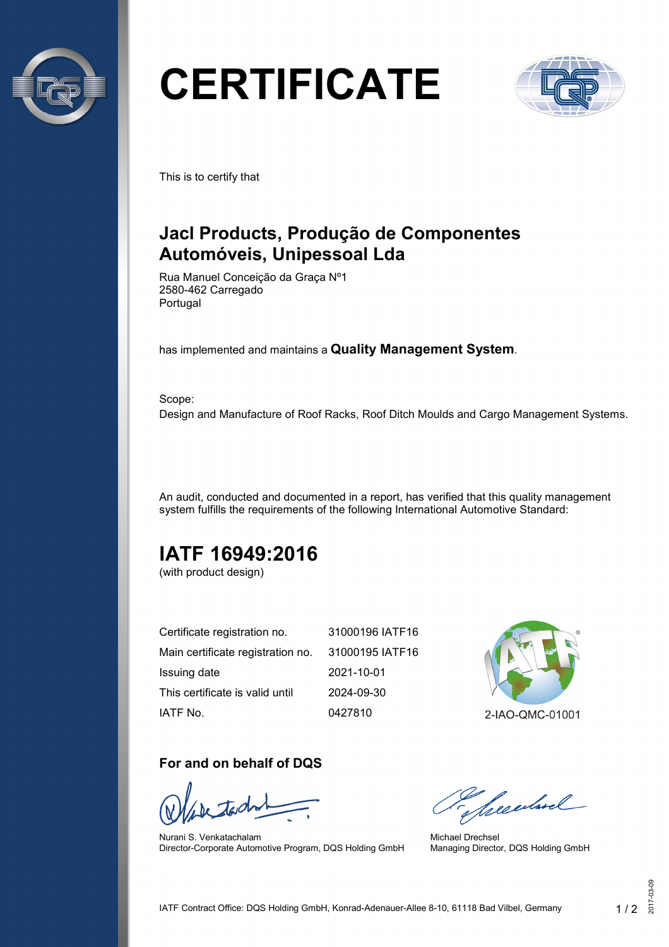

# **CERTIFICATE**



This is to certify that

# **Jacl Products, Produção de Componentes Automóveis, Unipessoal Lda**

Rua Manuel Conceição da Graça Nº1 2580-462 Carregado Portugal

has implemented and maintains a **Quality Management System**.

Scope: Design and Manufacture of Roof Racks, Roof Ditch Moulds and Cargo Management Systems.

An audit, conducted and documented in a report, has verified that this quality management system fulfills the requirements of the following International Automotive Standard:

# **IATF 16949:2016**

(with product design)

| Certificate registration no.      | 31000196 IATF16 |
|-----------------------------------|-----------------|
| Main certificate registration no. | 31000195 IATF16 |
| Issuing date                      | 2021-10-01      |
| This certificate is valid until   | 2024-09-30      |
| IATF No.                          | 0427810         |



### **For and on behalf of DQS**

Nurani S. Venkatachalam Director-Corporate Automotive Program, DQS Holding GmbH

Secularel

Michael Drechsel Managing Director, DQS Holding GmbH